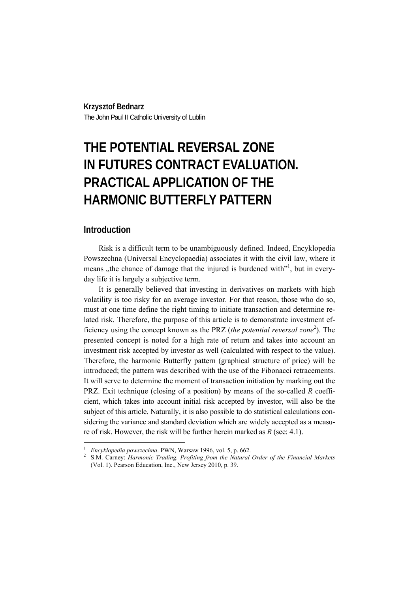#### **Krzysztof Bednarz**

The John Paul II Catholic University of Lublin

# **THE POTENTIAL REVERSAL ZONE IN FUTURES CONTRACT EVALUATION. PRACTICAL APPLICATION OF THE HARMONIC BUTTERFLY PATTERN**

## **Introduction**

 $\overline{a}$ 

Risk is a difficult term to be unambiguously defined. Indeed, Encyklopedia Powszechna (Universal Encyclopaedia) associates it with the civil law, where it means, the chance of damage that the injured is burdened with<sup>11</sup>, but in everyday life it is largely a subjective term.

It is generally believed that investing in derivatives on markets with high volatility is too risky for an average investor. For that reason, those who do so, must at one time define the right timing to initiate transaction and determine related risk. Therefore, the purpose of this article is to demonstrate investment efficiency using the concept known as the PRZ (*the potential reversal zone*<sup>2</sup>). The presented concept is noted for a high rate of return and takes into account an investment risk accepted by investor as well (calculated with respect to the value). Therefore, the harmonic Butterfly pattern (graphical structure of price) will be introduced; the pattern was described with the use of the Fibonacci retracements. It will serve to determine the moment of transaction initiation by marking out the PRZ. Exit technique (closing of a position) by means of the so-called *R* coefficient, which takes into account initial risk accepted by investor, will also be the subject of this article. Naturally, it is also possible to do statistical calculations considering the variance and standard deviation which are widely accepted as a measure of risk. However, the risk will be further herein marked as *R* (see: 4.1).

<sup>1</sup>

<sup>&</sup>lt;sup>1</sup> Encyklopedia powszechna. PWN, Warsaw 1996, vol. 5, p. 662.<br><sup>2</sup> S.M. Carney: *Harmonic Trading. Profiting from the Natural Order of the Financial Markets* (Vol. 1). Pearson Education, Inc., New Jersey 2010, p. 39.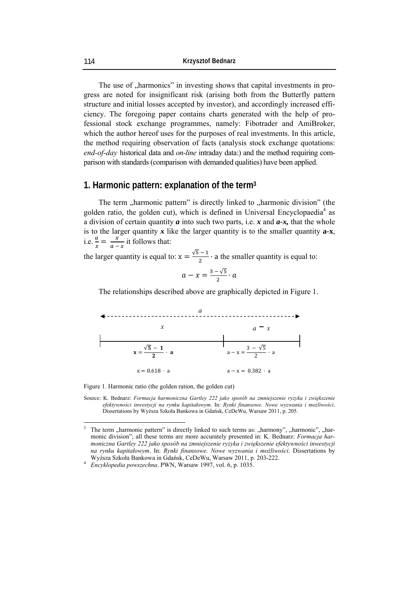The use of "harmonics" in investing shows that capital investments in progress are noted for insignificant risk (arising both from the Butterfly pattern structure and initial losses accepted by investor), and accordingly increased efficiency. The foregoing paper contains charts generated with the help of professional stock exchange programmes, namely: Fibotrader and AmiBroker, which the author hereof uses for the purposes of real investments. In this article, the method requiring observation of facts (analysis stock exchange quotations: *end-of-day* historical data and *on-line* intraday data:) and the method requiring comparison with standards (comparison with demanded qualities) have been applied.

## **1. Harmonic pattern: explanation of the term3**

The term "harmonic pattern" is directly linked to "harmonic division" (the golden ratio, the golden cut), which is defined in Universal Encyclopaedia<sup>4</sup> as a division of certain quantity *a* into such two parts, i.e. *x* and *a-x,* that the whole is to the larger quantity *x* like the larger quantity is to the smaller quantity **a***-***x**, i.e.  $\frac{a}{x} = \frac{x}{a-x}$  it follows that:

the larger quantity is equal to:  $x = \frac{\sqrt{5}-1}{2}$  $\frac{1}{2}$  a the smaller quantity is equal to:

$$
a-x=\frac{3-\sqrt{5}}{2}\cdot a
$$

The relationships described above are graphically depicted in Figure 1.



Figure 1. Harmonic ratio (the golden ration, the golden cut)

Source: K. Bednarz: *Formacja harmoniczna Gartley 222 jako sposób na zmniejszenie ryzyka i zwiększenie efektywności inwestycji na rynku kapitałowym*. In: *Rynki finansowe. Nowe wyzwania i możliwości*. Dissertations by Wyższa Szkoła Bankowa in Gdańsk, CeDeWu, Warsaw 2011, p. 205.

 3 The term "harmonic pattern" is directly linked to such terms as: "harmony", "harmonic", "harmonic division"; all these terms are more accurately presented in: K. Bednarz: *Formacja harmoniczna Gartley 222 jako sposób na zmniejszenie ryzyka i zwiększenie efektywności inwestycji na rynku kapitałowym*. In: *Rynki finansowe. Nowe wyzwania i możliwości*. Dissertations by Wyższa Szkoła Bankowa in Gdańsk, CeDeWu, Warsaw 2011, p. 203-222. 4

*Encyklopedia powszechna*. PWN, Warsaw 1997, vol. 6, p. 1035.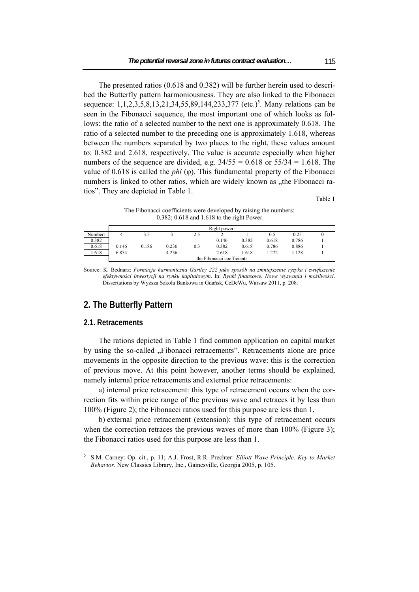The presented ratios (0.618 and 0.382) will be further herein used to described the Butterfly pattern harmoniousness. They are also linked to the Fibonacci sequence: 1,1,2,3,5,8,13,21,34,55,89,144,233,377 (etc.)<sup>5</sup>. Many relations can be seen in the Fibonacci sequence, the most important one of which looks as follows: the ratio of a selected number to the next one is approximately 0.618. The ratio of a selected number to the preceding one is approximately 1.618, whereas between the numbers separated by two places to the right, these values amount to: 0.382 and 2.618, respectively. The value is accurate especially when higher numbers of the sequence are divided, e.g.  $34/55 = 0.618$  or  $55/34 = 1.618$ . The value of 0.618 is called the *phi* (φ). This fundamental property of the Fibonacci numbers is linked to other ratios, which are widely known as , the Fibonacci ratios". They are depicted in Table 1.

Table 1

The Fibonacci coefficients were developed by raising the numbers: 0.382; 0.618 and 1.618 to the right Power

|         | Right power:               |       |       |     |       |       |       |       |  |  |  |
|---------|----------------------------|-------|-------|-----|-------|-------|-------|-------|--|--|--|
| Number: |                            |       |       | 2.5 |       |       | 0.5   | 0.25  |  |  |  |
| 0.382   |                            |       |       |     | 0.146 | 0.382 | 0.618 | 0.786 |  |  |  |
| 0.618   | 0.146                      | 0.186 | 0.236 | 0.3 | 0.382 | 0.618 | 0.786 | 0.886 |  |  |  |
| 1.618   | 6.854                      |       | 4.236 |     | 2.618 | 1.618 | .272  | l.128 |  |  |  |
|         | the Fibonacci coefficients |       |       |     |       |       |       |       |  |  |  |

Source: K. Bednarz: *Formacja harmoniczna Gartley 222 jako sposób na zmniejszenie ryzyka i zwiększenie efektywności inwestycji na rynku kapitałowym*. In: *Rynki finansowe. Nowe wyzwania i możliwości*. Dissertations by Wyższa Szkoła Bankowa in Gdańsk, CeDeWu, Warsaw 2011, p. 208.

# **2. The Butterfly Pattern**

#### **2.1. Retracements**

 $\overline{a}$ 

The rations depicted in Table 1 find common application on capital market by using the so-called "Fibonacci retracements". Retracements alone are price movements in the opposite direction to the previous wave: this is the correction of previous move. At this point however, another terms should be explained, namely internal price retracements and external price retracements:

a) internal price retracement: this type of retracement occurs when the correction fits within price range of the previous wave and retraces it by less than 100% (Figure 2); the Fibonacci ratios used for this purpose are less than 1,

b) external price retracement (extension): this type of retracement occurs when the correction retraces the previous waves of more than 100% (Figure 3); the Fibonacci ratios used for this purpose are less than 1.

<sup>5</sup> S.M. Carney: Op. cit., p. 11; A.J. Frost, R.R. Prechter: *Elliott Wave Principle. Key to Market Behavior.* New Classics Library, Inc., Gainesville, Georgia 2005, p. 105.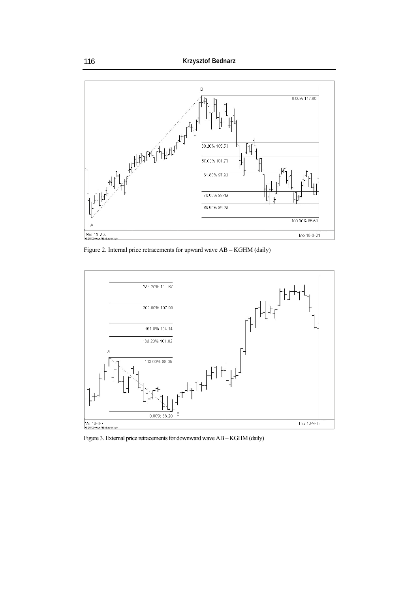

Figure 2. Internal price retracements for upward wave AB – KGHM (daily)



Figure 3. External price retracements for downward wave AB – KGHM (daily)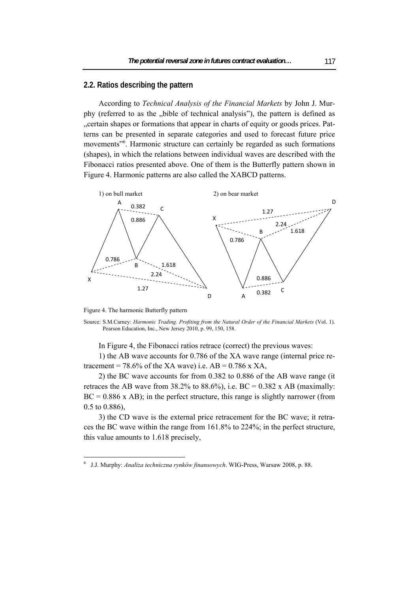#### **2.2. Ratios describing the pattern**

According to *Technical Analysis of the Financial Markets* by John J. Murphy (referred to as the "bible of technical analysis"), the pattern is defined as "certain shapes or formations that appear in charts of equity or goods prices. Patterns can be presented in separate categories and used to forecast future price movements<sup>"6</sup>. Harmonic structure can certainly be regarded as such formations (shapes), in which the relations between individual waves are described with the Fibonacci ratios presented above. One of them is the Butterfly pattern shown in Figure 4. Harmonic patterns are also called the XABCD patterns.



Figure 4. The harmonic Butterfly pattern

 $\overline{a}$ 

Source: S.M.Carney: *Harmonic Trading. Profiting from the Natural Order of the Financial Markets* (Vol. 1). Pearson Education, Inc., New Jersey 2010, p. 99, 150, 158.

In Figure 4, the Fibonacci ratios retrace (correct) the previous waves:

1) the AB wave accounts for 0.786 of the XA wave range (internal price retracement = 78.6% of the XA wave) i.e.  $AB = 0.786$  x XA,

2) the BC wave accounts for from 0.382 to 0.886 of the AB wave range (it retraces the AB wave from 38.2% to 88.6%), i.e.  $BC = 0.382$  x AB (maximally:  $BC = 0.886$  x AB); in the perfect structure, this range is slightly narrower (from 0.5 to 0.886),

3) the CD wave is the external price retracement for the BC wave; it retraces the BC wave within the range from 161.8% to 224%; in the perfect structure, this value amounts to 1.618 precisely,

<sup>6</sup> J.J. Murphy: *Analiza techniczna rynków finansowych*. WIG-Press, Warsaw 2008, p. 88.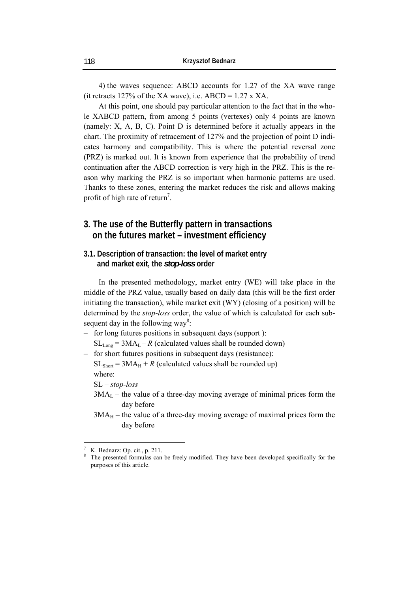4) the waves sequence: ABCD accounts for 1.27 of the XA wave range (it retracts 127% of the XA wave), i.e.  $ABCD = 1.27 \times XA$ .

At this point, one should pay particular attention to the fact that in the whole XABCD pattern, from among 5 points (vertexes) only 4 points are known (namely: X, A, B, C). Point D is determined before it actually appears in the chart. The proximity of retracement of 127% and the projection of point D indicates harmony and compatibility. This is where the potential reversal zone (PRZ) is marked out. It is known from experience that the probability of trend continuation after the ABCD correction is very high in the PRZ. This is the reason why marking the PRZ is so important when harmonic patterns are used. Thanks to these zones, entering the market reduces the risk and allows making profit of high rate of return<sup>7</sup>.

# **3. The use of the Butterfly pattern in transactions on the futures market – investment efficiency**

## **3.1. Description of transaction: the level of market entry and market exit, the** *stop-loss* **order**

In the presented methodology, market entry (WE) will take place in the middle of the PRZ value, usually based on daily data (this will be the first order initiating the transaction), while market exit (WY) (closing of a position) will be determined by the *stop-loss* order, the value of which is calculated for each subsequent day in the following way<sup>8</sup>:

‒ for long futures positions in subsequent days (support ):

 $SL_{Long} = 3MA_L - R$  (calculated values shall be rounded down)

‒ for short futures positions in subsequent days (resistance):

 $SL<sub>Short</sub> = 3MA<sub>H</sub> + R$  (calculated values shall be rounded up) where:

SL – *stop-loss*

- $3MA<sub>L</sub>$  the value of a three-day moving average of minimal prices form the day before
- $3MA<sub>H</sub>$  the value of a three-day moving average of maximal prices form the day before

 $\overline{a}$ 

<sup>7</sup> K. Bednarz: Op. cit., p. 211.

<sup>8</sup> The presented formulas can be freely modified. They have been developed specifically for the purposes of this article.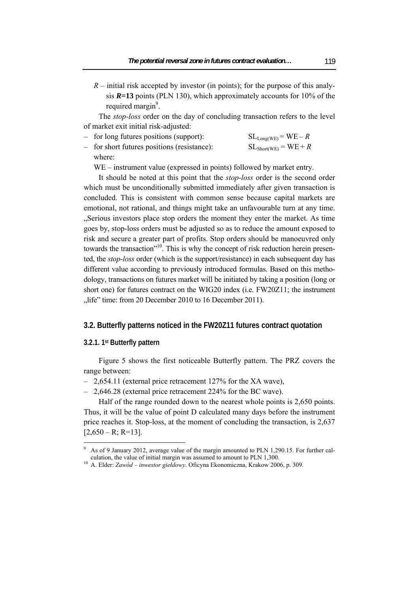$R$  – initial risk accepted by investor (in points); for the purpose of this analysis *R***=13** points (PLN 130), which approximately accounts for 10% of the required margin<sup>9</sup>.

The *stop-loss* order on the day of concluding transaction refers to the level of market exit initial risk-adjusted:

| - for long futures positions (support):     | $SL_{Long(WE)} = WE - R$  |
|---------------------------------------------|---------------------------|
| - for short futures positions (resistance): | $SL_{Short(WE)} = WE + R$ |

where:

WE – instrument value (expressed in points) followed by market entry.

It should be noted at this point that the *stop-loss* order is the second order which must be unconditionally submitted immediately after given transaction is concluded. This is consistent with common sense because capital markets are emotional, not rational, and things might take an unfavourable turn at any time. "Serious investors place stop orders the moment they enter the market. As time goes by, stop-loss orders must be adjusted so as to reduce the amount exposed to risk and secure a greater part of profits. Stop orders should be manoeuvred only towards the transaction"<sup>10</sup>. This is why the concept of risk reduction herein presented, the *stop-loss* order (which is the support/resistance) in each subsequent day has different value according to previously introduced formulas. Based on this methodology, transactions on futures market will be initiated by taking a position (long or short one) for futures contract on the WIG20 index (i.e. FW20Z11; the instrument "life" time: from 20 December 2010 to 16 December 2011).

#### **3.2. Butterfly patterns noticed in the FW20Z11 futures contract quotation**

#### **3.2.1. 1st Butterfly pattern**

 $\overline{a}$ 

Figure 5 shows the first noticeable Butterfly pattern. The PRZ covers the range between:

- 2,654.11 (external price retracement 127% for the XA wave),
- 2.646.28 (external price retracement 224% for the BC wave).

Half of the range rounded down to the nearest whole points is 2,650 points. Thus, it will be the value of point D calculated many days before the instrument price reaches it. Stop-loss, at the moment of concluding the transaction, is 2,637  $[2,650 - R; R = 13]$ .

<sup>9</sup> As of 9 January 2012, average value of the margin amounted to PLN 1,290.15. For further calculation, the value of initial margin was assumed to amount to PLN 1,300. 10 A. Elder: *Zawód – inwestor giełdowy*. Oficyna Ekonomiczna, Krakow 2006, p. 309.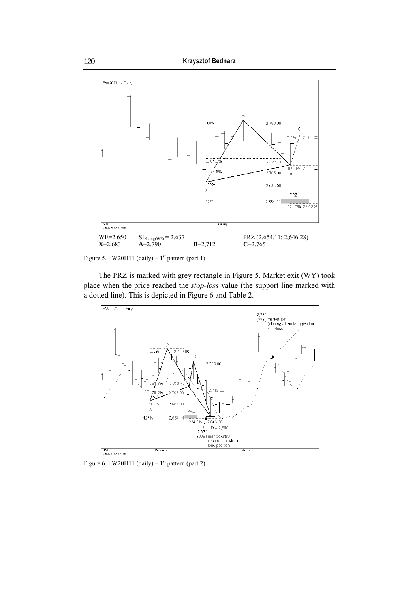

Figure 5. FW20H11 (daily) –  $1<sup>st</sup>$  pattern (part 1)

The PRZ is marked with grey rectangle in Figure 5. Market exit (WY) took place when the price reached the *stop-loss* value (the support line marked with a dotted line). This is depicted in Figure 6 and Table 2.



Figure 6. FW20H11 (daily) –  $1<sup>st</sup>$  pattern (part 2)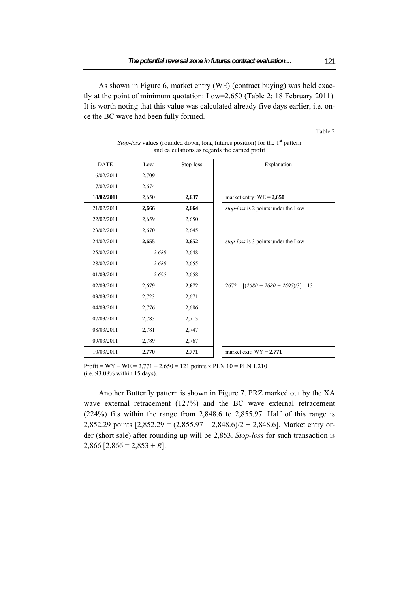As shown in Figure 6, market entry (WE) (contract buying) was held exactly at the point of minimum quotation: Low=2,650 (Table 2; 18 February 2011). It is worth noting that this value was calculated already five days earlier, i.e. once the BC wave had been fully formed.

Table 2

| <b>DATE</b> | Low   | Stop-loss | Explanation                            |
|-------------|-------|-----------|----------------------------------------|
| 16/02/2011  | 2,709 |           |                                        |
| 17/02/2011  | 2,674 |           |                                        |
| 18/02/2011  | 2,650 | 2,637     | market entry: $WE = 2,650$             |
| 21/02/2011  | 2,666 | 2,664     | stop-loss is 2 points under the Low    |
| 22/02/2011  | 2,659 | 2,650     |                                        |
| 23/02/2011  | 2,670 | 2,645     |                                        |
| 24/02/2011  | 2,655 | 2,652     | stop-loss is 3 points under the Low    |
| 25/02/2011  | 2,680 | 2,648     |                                        |
| 28/02/2011  | 2,680 | 2,655     |                                        |
| 01/03/2011  | 2,695 | 2,658     |                                        |
| 02/03/2011  | 2,679 | 2,672     | $2672 = [(2680 + 2680 + 2695)/3] - 13$ |
| 03/03/2011  | 2,723 | 2,671     |                                        |
| 04/03/2011  | 2,776 | 2,686     |                                        |
| 07/03/2011  | 2,783 | 2,713     |                                        |
| 08/03/2011  | 2,781 | 2,747     |                                        |
| 09/03/2011  | 2,789 | 2,767     |                                        |
| 10/03/2011  | 2,770 | 2,771     | market exit: $WY = 2,771$              |

*Stop-loss* values (rounded down, long futures position) for the 1<sup>st</sup> pattern and calculations as regards the earned profit

Profit =  $WY - WE = 2,771 - 2,650 = 121$  points x PLN 10 = PLN 1,210 (i.e. 93.08% within 15 days).

Another Butterfly pattern is shown in Figure 7. PRZ marked out by the XA wave external retracement (127%) and the BC wave external retracement (224%) fits within the range from 2,848.6 to 2,855.97. Half of this range is 2,852.29 points  $[2,852.29 = (2,855.97 - 2,848.6)/2 + 2,848.6]$ . Market entry order (short sale) after rounding up will be 2,853. *Stop-loss* for such transaction is 2,866  $[2,866 = 2,853 + R]$ .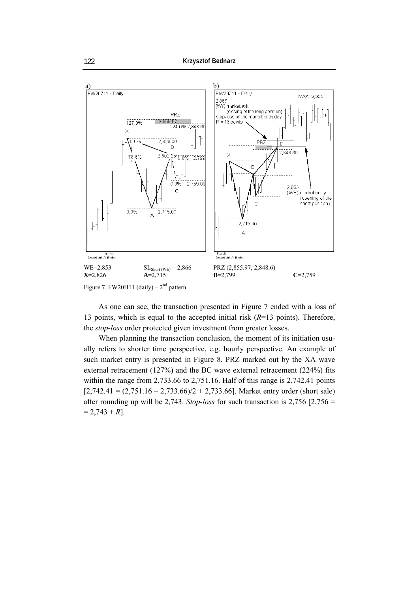

Figure 7. FW20H11 (daily) –  $2<sup>nd</sup>$  pattern

As one can see, the transaction presented in Figure 7 ended with a loss of 13 points, which is equal to the accepted initial risk (*R*=13 points). Therefore, the *stop-loss* order protected given investment from greater losses.

When planning the transaction conclusion, the moment of its initiation usually refers to shorter time perspective, e.g. hourly perspective. An example of such market entry is presented in Figure 8. PRZ marked out by the XA wave external retracement (127%) and the BC wave external retracement (224%) fits within the range from 2,733.66 to 2,751.16. Half of this range is 2,742.41 points  $[2,742.41 = (2,751.16 - 2,733.66)/2 + 2,733.66]$ . Market entry order (short sale) after rounding up will be 2,743. *Stop-loss* for such transaction is 2,756 [2,756 =  $= 2,743 + R$ ].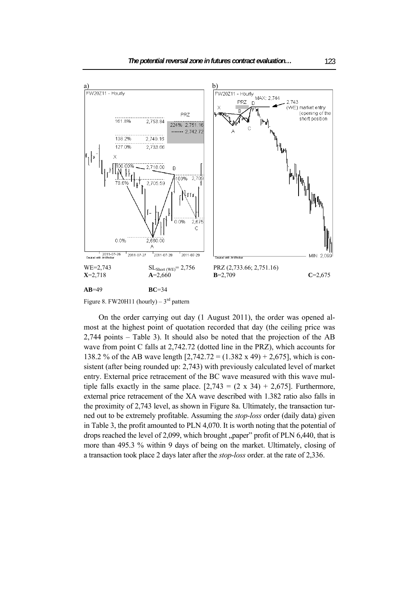

Figure 8. FW20H11 (hourly) –  $3<sup>rd</sup>$  pattern

On the order carrying out day (1 August 2011), the order was opened almost at the highest point of quotation recorded that day (the ceiling price was 2,744 points – Table 3). It should also be noted that the projection of the AB wave from point C falls at 2,742.72 (dotted line in the PRZ), which accounts for 138.2 % of the AB wave length [2,742.72 = (1.382 x 49) + 2,675], which is consistent (after being rounded up: 2,743) with previously calculated level of market entry. External price retracement of the BC wave measured with this wave multiple falls exactly in the same place.  $[2,743 = (2 \times 34) + 2,675]$ . Furthermore, external price retracement of the XA wave described with 1.382 ratio also falls in the proximity of 2,743 level, as shown in Figure 8a. Ultimately, the transaction turned out to be extremely profitable. Assuming the *stop-loss* order (daily data) given in Table 3, the profit amounted to PLN 4,070. It is worth noting that the potential of drops reached the level of  $2,099$ , which brought  $\mu$  paper" profit of PLN 6,440, that is more than 495.3 % within 9 days of being on the market. Ultimately, closing of a transaction took place 2 days later after the *stop-loss* order. at the rate of 2,336.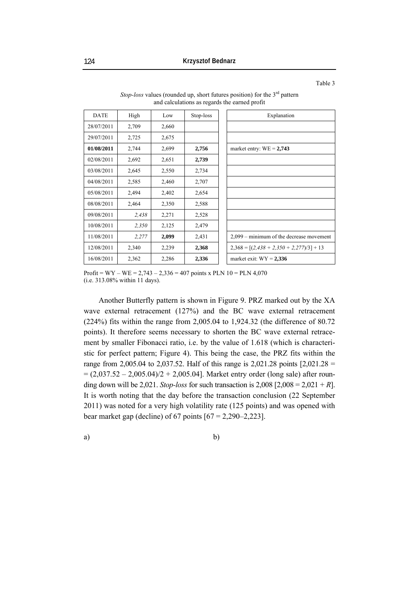Table 3

| <b>DATE</b> | High  | Low   | Stop-loss | Explanation                                |
|-------------|-------|-------|-----------|--------------------------------------------|
| 28/07/2011  | 2,709 | 2,660 |           |                                            |
| 29/07/2011  | 2,725 | 2,675 |           |                                            |
| 01/08/2011  | 2,744 | 2,699 | 2,756     | market entry: $WE = 2,743$                 |
| 02/08/2011  | 2,692 | 2,651 | 2,739     |                                            |
| 03/08/2011  | 2,645 | 2,550 | 2,734     |                                            |
| 04/08/2011  | 2,585 | 2,460 | 2,707     |                                            |
| 05/08/2011  | 2,494 | 2,402 | 2,654     |                                            |
| 08/08/2011  | 2,464 | 2,350 | 2,588     |                                            |
| 09/08/2011  | 2,438 | 2,271 | 2,528     |                                            |
| 10/08/2011  | 2,350 | 2,125 | 2,479     |                                            |
| 11/08/2011  | 2,277 | 2,099 | 2,431     | 2,099 – minimum of the decrease movement   |
| 12/08/2011  | 2,340 | 2,239 | 2,368     | $2,368 = [(2,438 + 2,350 + 2,277)/3] + 13$ |
| 16/08/2011  | 2,362 | 2,286 | 2,336     | market exit: $WY = 2,336$                  |

*Stop-loss* values (rounded up, short futures position) for the 3<sup>rd</sup> pattern and calculations as regards the earned profit

Profit = WY – WE =  $2,743 - 2,336 = 407$  points x PLN 10 = PLN 4,070 (i.e. 313.08% within 11 days).

Another Butterfly pattern is shown in Figure 9. PRZ marked out by the XA wave external retracement (127%) and the BC wave external retracement (224%) fits within the range from 2,005.04 to 1,924.32 (the difference of 80.72 points). It therefore seems necessary to shorten the BC wave external retracement by smaller Fibonacci ratio, i.e. by the value of 1.618 (which is characteristic for perfect pattern; Figure 4). This being the case, the PRZ fits within the range from 2,005.04 to 2,037.52. Half of this range is 2,021.28 points [2,021.28 =  $= (2.037.52 - 2.005.04)/2 + 2.005.04$ . Market entry order (long sale) after rounding down will be 2,021. *Stop-loss* for such transaction is  $2,008$  [ $2,008 = 2,021 + R$ ]. It is worth noting that the day before the transaction conclusion (22 September 2011) was noted for a very high volatility rate (125 points) and was opened with bear market gap (decline) of 67 points  $[67 = 2,290 - 2,223]$ .

$$
a) \t\t\t b)
$$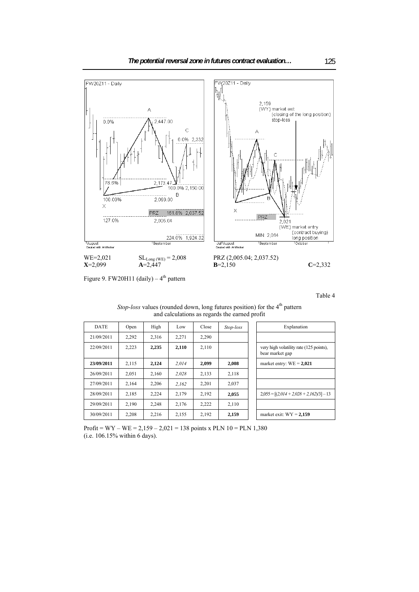

Figure 9. FW20H11 (daily)  $-4$ <sup>th</sup> pattern

Table 4

| <i>Stop-loss</i> values (rounded down, long futures position) for the 4 <sup>th</sup> pattern | and calculations as regards the earned profit |       |       |       |       |             |
|-----------------------------------------------------------------------------------------------|-----------------------------------------------|-------|-------|-------|-------|-------------|
| Explanation                                                                                   | Stop-loss                                     | Close | Low   | High  | Open  | <b>DATE</b> |
|                                                                                               |                                               | 2,290 | 2,271 | 2,316 | 2,292 | 21/09/2011  |
| very high volatility rate (125 points).<br>bear market gap                                    |                                               | 2,110 | 2,110 | 2,235 | 2,223 | 22/09/2011  |
| market entry: $WE = 2,021$                                                                    | 2,008                                         | 2,099 | 2,014 | 2,124 | 2,115 | 23/09/2011  |
|                                                                                               | 2,118                                         | 2,133 | 2,028 | 2.160 | 2,051 | 26/09/2011  |
|                                                                                               | 2,037                                         | 2,201 | 2,162 | 2,206 | 2,164 | 27/09/2011  |
| $2,055 = [(2,014 + 2,028 + 2,162)/3] - 13$                                                    | 2,055                                         | 2,192 | 2,179 | 2,224 | 2,185 | 28/09/2011  |
|                                                                                               | 2,110                                         | 2,222 | 2,176 | 2,248 | 2.190 | 29/09/2011  |
| market exit: $WY = 2,159$                                                                     | 2,159                                         | 2,192 | 2,155 | 2,216 | 2,208 | 30/09/2011  |

# *Stop-loss* values (rounded down, long futures position) for the 4<sup>th</sup> pattern

Profit =  $WY - WE = 2,159 - 2,021 = 138$  points x PLN 10 = PLN 1,380 (i.e. 106.15% within 6 days).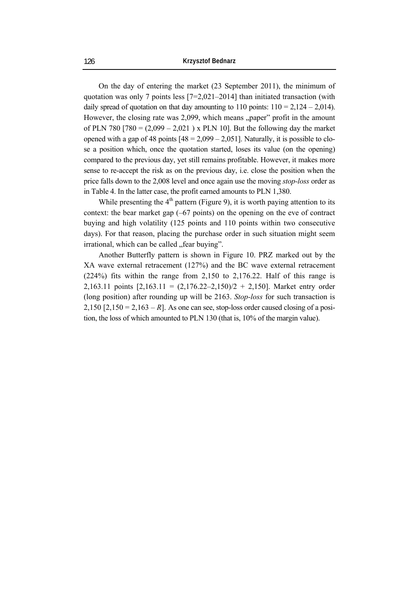On the day of entering the market (23 September 2011), the minimum of quotation was only 7 points less [7=2,021–2014] than initiated transaction (with daily spread of quotation on that day amounting to 110 points:  $110 = 2,124 - 2,014$ . However, the closing rate was 2,099, which means "paper" profit in the amount of PLN 780  $[780 = (2,099 - 2,021)$  x PLN 10]. But the following day the market opened with a gap of 48 points  $[48 = 2,099 - 2,051]$ . Naturally, it is possible to close a position which, once the quotation started, loses its value (on the opening) compared to the previous day, yet still remains profitable. However, it makes more sense to re-accept the risk as on the previous day, i.e. close the position when the price falls down to the 2,008 level and once again use the moving *stop-loss* order as in Table 4. In the latter case, the profit earned amounts to PLN 1,380.

While presenting the  $4<sup>th</sup>$  pattern (Figure 9), it is worth paying attention to its context: the bear market gap (–67 points) on the opening on the eve of contract buying and high volatility (125 points and 110 points within two consecutive days). For that reason, placing the purchase order in such situation might seem irrational, which can be called "fear buying".

Another Butterfly pattern is shown in Figure 10. PRZ marked out by the XA wave external retracement (127%) and the BC wave external retracement (224%) fits within the range from 2,150 to 2,176.22. Half of this range is 2,163.11 points  $[2,163.11 = (2,176.22-2,150)/2 + 2,150]$ . Market entry order (long position) after rounding up will be 2163. *Stop-loss* for such transaction is 2,150  $[2,150 = 2,163 - R]$ . As one can see, stop-loss order caused closing of a position, the loss of which amounted to PLN 130 (that is, 10% of the margin value).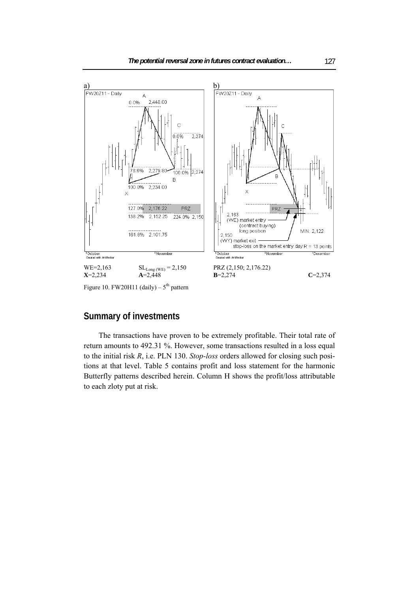

Figure 10. FW20H11 (daily) –  $5<sup>th</sup>$  pattern

# **Summary of investments**

The transactions have proven to be extremely profitable. Their total rate of return amounts to 492.31 %. However, some transactions resulted in a loss equal to the initial risk *R*, i.e. PLN 130. *Stop-loss* orders allowed for closing such positions at that level. Table 5 contains profit and loss statement for the harmonic Butterfly patterns described herein. Column H shows the profit/loss attributable to each zloty put at risk.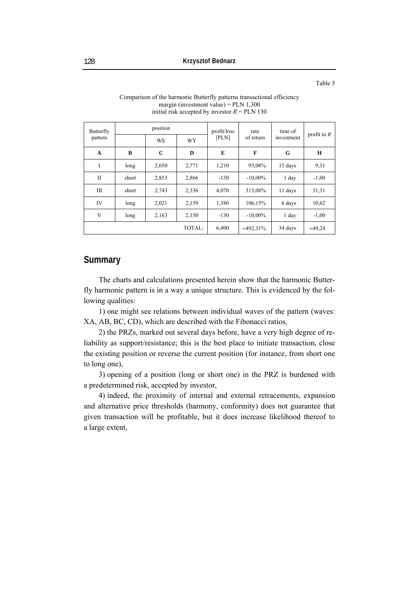Table 5

| Butterfly<br>pattern |       | position    |        | profit/loss | rate              | time of<br>investment | profit to $R$   |
|----------------------|-------|-------------|--------|-------------|-------------------|-----------------------|-----------------|
|                      |       | <b>WE</b>   | WY     | [PLN]       | of return         |                       |                 |
| A                    | B     | $\mathbf C$ | D      | E           | $\mathbf{F}$      | G                     | H               |
| T                    | long  | 2,650       | 2,771  | 1,210       | 93,08%            | 15 days               | 9,31            |
| $\mathbf{I}$         | short | 2,853       | 2,866  | $-130$      | $-10,00\%$        | 1 day                 | $-1,00$         |
| Ш                    | short | 2,743       | 2,336  | 4,070       | 313,08%           | 11 days               | 31,31           |
| IV                   | long  | 2,021       | 2,159  | 1,380       | 106,15%           | 6 days                | 10,62           |
| V                    | long  | 2,163       | 2,150  | $-130$      | $-10,00\%$        | 1 day                 | $-1,00$         |
|                      |       |             | TOTAL: | 6,400       | $\approx$ 492,31% | 34 days               | $\approx 49,24$ |

Comparison of the harmonic Butterfly patterns transactional efficiency margin (investment value) =  $PLN$  1,300 initial risk accepted by investor  $R = PLN$  130

# **Summary**

The charts and calculations presented herein show that the harmonic Butterfly harmonic pattern is in a way a unique structure. This is evidenced by the following qualities:

1) one might see relations between individual waves of the pattern (waves: XA, AB, BC, CD), which are described with the Fibonacci ratios,

2) the PRZs, marked out several days before, have a very high degree of reliability as support/resistance; this is the best place to initiate transaction, close the existing position or reverse the current position (for instance, from short one to long one),

3) opening of a position (long or short one) in the PRZ is burdened with a predetermined risk, accepted by investor,

4) indeed, the proximity of internal and external retracements, expansion and alternative price thresholds (harmony, conformity) does not guarantee that given transaction will be profitable, but it does increase likelihood thereof to a large extent,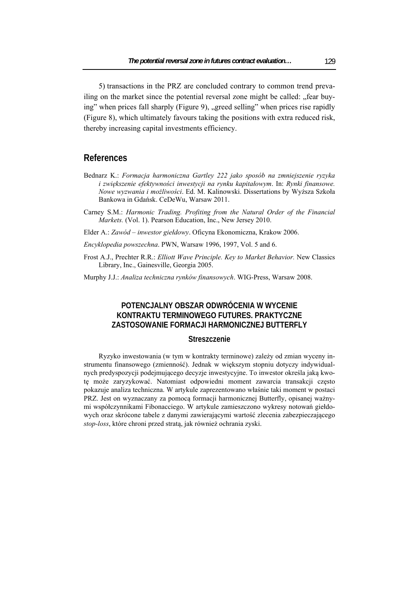5) transactions in the PRZ are concluded contrary to common trend prevailing on the market since the potential reversal zone might be called: "fear buying" when prices fall sharply (Figure 9), "greed selling" when prices rise rapidly (Figure 8), which ultimately favours taking the positions with extra reduced risk, thereby increasing capital investments efficiency.

### **References**

- Bednarz K.: *Formacja harmoniczna Gartley 222 jako sposób na zmniejszenie ryzyka i zwiększenie efektywności inwestycji na rynku kapitałowym*. In: *Rynki finansowe. Nowe wyzwania i możliwości*. Ed. M. Kalinowski. Dissertations by Wyższa Szkoła Bankowa in Gdańsk. CeDeWu, Warsaw 2011.
- Carney S.M.: *Harmonic Trading. Profiting from the Natural Order of the Financial Markets.* (Vol. 1). Pearson Education, Inc., New Jersey 2010.

Elder A.: *Zawód – inwestor giełdowy*. Oficyna Ekonomiczna, Krakow 2006.

*Encyklopedia powszechna*. PWN, Warsaw 1996, 1997, Vol. 5 and 6.

Frost A.J., Prechter R.R.: *Elliott Wave Principle. Key to Market Behavior.* New Classics Library, Inc., Gainesville, Georgia 2005.

Murphy J.J.: *Analiza techniczna rynków finansowych*. WIG-Press, Warsaw 2008.

## **POTENCJALNY OBSZAR ODWRÓCENIA W WYCENIE KONTRAKTU TERMINOWEGO FUTURES. PRAKTYCZNE ZASTOSOWANIE FORMACJI HARMONICZNEJ BUTTERFLY**

#### **Streszczenie**

Ryzyko inwestowania (w tym w kontrakty terminowe) zależy od zmian wyceny instrumentu finansowego (zmienność). Jednak w większym stopniu dotyczy indywidualnych predyspozycji podejmującego decyzje inwestycyjne. To inwestor określa jaką kwotę może zaryzykować. Natomiast odpowiedni moment zawarcia transakcji często pokazuje analiza techniczna. W artykule zaprezentowano właśnie taki moment w postaci PRZ. Jest on wyznaczany za pomocą formacji harmonicznej Butterfly, opisanej ważnymi współczynnikami Fibonacciego. W artykule zamieszczono wykresy notowań giełdowych oraz skrócone tabele z danymi zawierającymi wartość zlecenia zabezpieczającego *stop-loss*, które chroni przed stratą, jak również ochrania zyski.